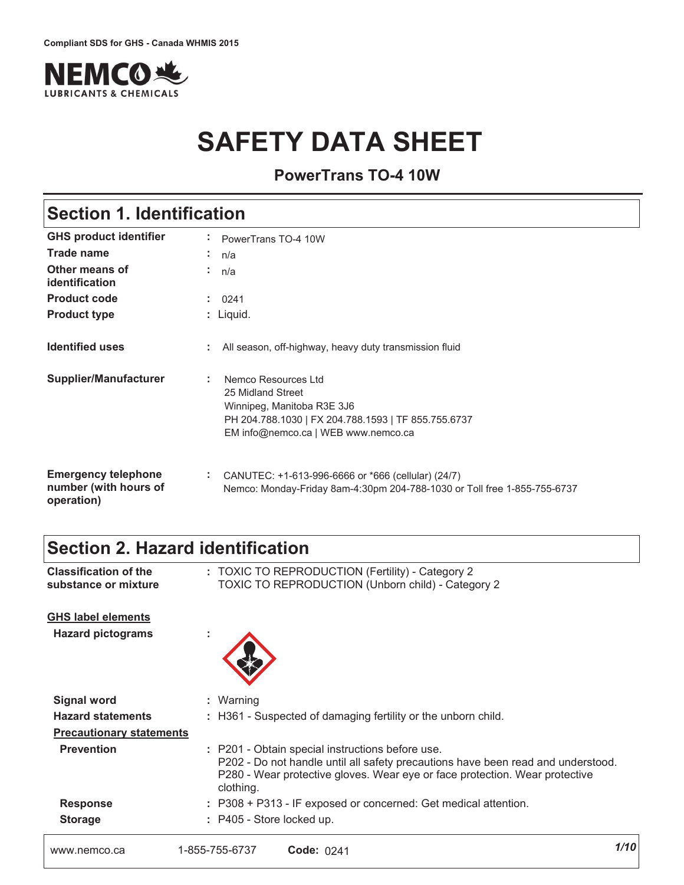

# **SAFETY DATA SHEET**

**PowerTrans TO-4 10W**

## **Section 1. Identification**

| <b>GHS product identifier</b>                                     | PowerTrans TO-4 10W                                                                                                                                                                                 |
|-------------------------------------------------------------------|-----------------------------------------------------------------------------------------------------------------------------------------------------------------------------------------------------|
| <b>Trade name</b>                                                 | n/a<br>$\sim$                                                                                                                                                                                       |
| Other means of<br>identification                                  | ÷.<br>n/a                                                                                                                                                                                           |
| <b>Product code</b>                                               | ÷.<br>0241                                                                                                                                                                                          |
| <b>Product type</b>                                               | : Liquid.                                                                                                                                                                                           |
| <b>Identified uses</b>                                            | All season, off-highway, heavy duty transmission fluid                                                                                                                                              |
| <b>Supplier/Manufacturer</b>                                      | Nemco Resources Ltd<br>$\mathcal{L}^{\mathcal{L}}$<br>25 Midland Street<br>Winnipeg, Manitoba R3E 3J6<br>PH 204.788.1030   FX 204.788.1593   TF 855.755.6737<br>EM info@nemco.ca   WEB www.nemco.ca |
| <b>Emergency telephone</b><br>number (with hours of<br>operation) | ÷.<br>CANUTEC: +1-613-996-6666 or *666 (cellular) (24/7)<br>Nemco: Monday-Friday 8am-4:30pm 204-788-1030 or Toll free 1-855-755-6737                                                                |

## **Section 2. Hazard identification**

| <b>Classification of the</b><br>substance or mixture | : TOXIC TO REPRODUCTION (Fertility) - Category 2<br><b>TOXIC TO REPRODUCTION (Unborn child) - Category 2</b>                                                                                                                     |      |
|------------------------------------------------------|----------------------------------------------------------------------------------------------------------------------------------------------------------------------------------------------------------------------------------|------|
| <b>GHS label elements</b>                            |                                                                                                                                                                                                                                  |      |
| <b>Hazard pictograms</b>                             |                                                                                                                                                                                                                                  |      |
| <b>Signal word</b>                                   | : Warning                                                                                                                                                                                                                        |      |
| <b>Hazard statements</b>                             | : H361 - Suspected of damaging fertility or the unborn child.                                                                                                                                                                    |      |
| <b>Precautionary statements</b>                      |                                                                                                                                                                                                                                  |      |
| <b>Prevention</b>                                    | : P201 - Obtain special instructions before use.<br>P202 - Do not handle until all safety precautions have been read and understood.<br>P280 - Wear protective gloves. Wear eye or face protection. Wear protective<br>clothing. |      |
| <b>Response</b>                                      | : P308 + P313 - IF exposed or concerned: Get medical attention.                                                                                                                                                                  |      |
| <b>Storage</b>                                       | : P405 - Store locked up.                                                                                                                                                                                                        |      |
| www.nemco.ca                                         | 1-855-755-6737<br>Code: 0241                                                                                                                                                                                                     | 1/10 |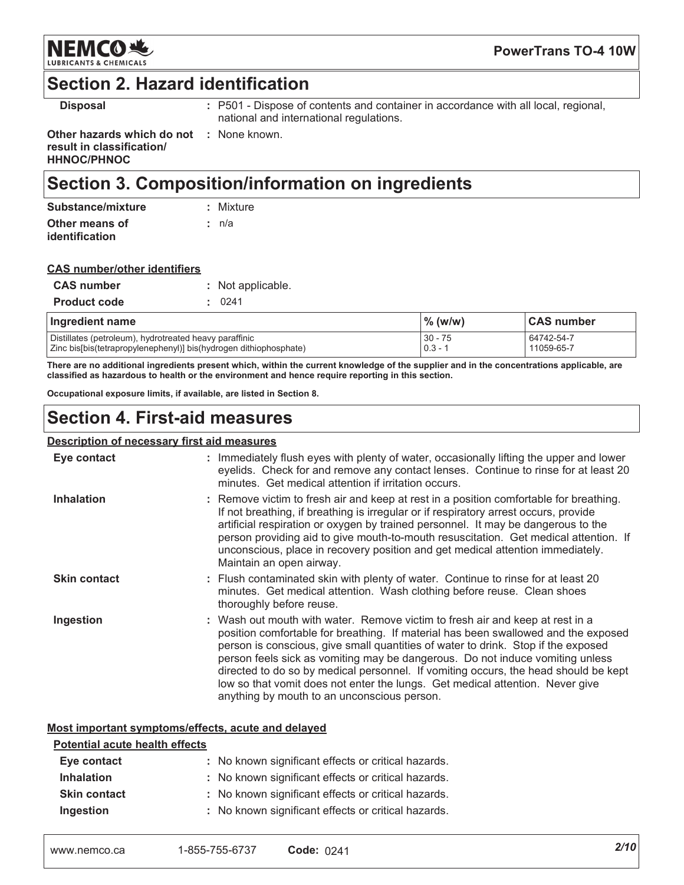

## **Section 2. Hazard identification**

**Disposal** 

: P501 - Dispose of contents and container in accordance with all local, regional, national and international regulations.

Other hazards which do not : None known. result in classification/ **HHNOC/PHNOC** 

## Section 3. Composition/information on ingredients

| Substance/mixture | : Mixture |
|-------------------|-----------|
| Other means of    | ∴ n/a     |
| identification    |           |

| <b>CAS number/other identifiers</b> |  |
|-------------------------------------|--|
|                                     |  |

| <b>CAS number</b>   | : Not applicable. |
|---------------------|-------------------|
| <b>Product code</b> | : 0241            |

| Ingredient name                                                   | $\%$ (w/w) | <b>CAS number</b> |
|-------------------------------------------------------------------|------------|-------------------|
| Distillates (petroleum), hydrotreated heavy paraffinic            | $30 - 75$  | 64742-54-7        |
| Zinc bis[bis(tetrapropylenephenyl)] bis(hydrogen dithiophosphate) | $0.3 - 1$  | 11059-65-7        |

There are no additional ingredients present which, within the current knowledge of the supplier and in the concentrations applicable, are classified as hazardous to health or the environment and hence require reporting in this section.

Occupational exposure limits, if available, are listed in Section 8.

## **Section 4. First-aid measures**

### **Description of necessary first aid measures**

| Eye contact         | : Immediately flush eyes with plenty of water, occasionally lifting the upper and lower<br>eyelids. Check for and remove any contact lenses. Continue to rinse for at least 20<br>minutes. Get medical attention if irritation occurs.                                                                                                                                                                                                                                                                                                                           |
|---------------------|------------------------------------------------------------------------------------------------------------------------------------------------------------------------------------------------------------------------------------------------------------------------------------------------------------------------------------------------------------------------------------------------------------------------------------------------------------------------------------------------------------------------------------------------------------------|
| <b>Inhalation</b>   | : Remove victim to fresh air and keep at rest in a position comfortable for breathing.<br>If not breathing, if breathing is irregular or if respiratory arrest occurs, provide<br>artificial respiration or oxygen by trained personnel. It may be dangerous to the<br>person providing aid to give mouth-to-mouth resuscitation. Get medical attention. If<br>unconscious, place in recovery position and get medical attention immediately.<br>Maintain an open airway.                                                                                        |
| <b>Skin contact</b> | : Flush contaminated skin with plenty of water. Continue to rinse for at least 20<br>minutes. Get medical attention. Wash clothing before reuse. Clean shoes<br>thoroughly before reuse.                                                                                                                                                                                                                                                                                                                                                                         |
| Ingestion           | : Wash out mouth with water. Remove victim to fresh air and keep at rest in a<br>position comfortable for breathing. If material has been swallowed and the exposed<br>person is conscious, give small quantities of water to drink. Stop if the exposed<br>person feels sick as vomiting may be dangerous. Do not induce vomiting unless<br>directed to do so by medical personnel. If vomiting occurs, the head should be kept<br>low so that vomit does not enter the lungs. Get medical attention. Never give<br>anything by mouth to an unconscious person. |

### Most important symptoms/effects, acute and delayed

#### **Potential acute health effects**

| Eye contact         | : No known significant effects or critical hazards. |
|---------------------|-----------------------------------------------------|
| <b>Inhalation</b>   | : No known significant effects or critical hazards. |
| <b>Skin contact</b> | : No known significant effects or critical hazards. |
| Ingestion           | : No known significant effects or critical hazards. |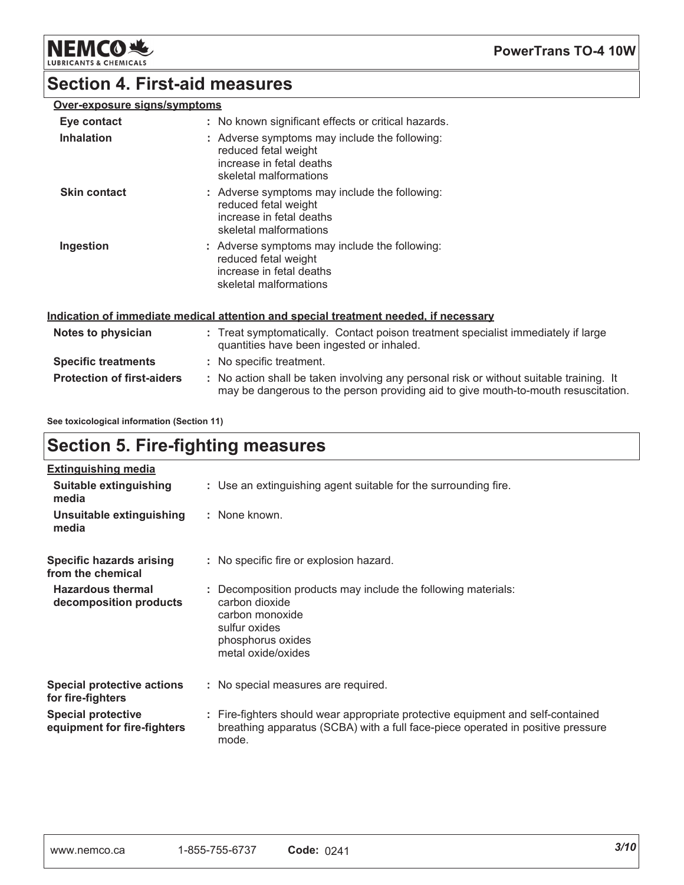**NEMCO头** LUBR

**PowerTrans TO-4 10W** 

### **Section 4. First-aid measures**

### Over-exposure signs/symptoms

| Eye contact<br><b>Inhalation</b> | : No known significant effects or critical hazards.<br>: Adverse symptoms may include the following:<br>reduced fetal weight<br>increase in fetal deaths<br>skeletal malformations |  |
|----------------------------------|------------------------------------------------------------------------------------------------------------------------------------------------------------------------------------|--|
| <b>Skin contact</b>              | : Adverse symptoms may include the following:<br>reduced fetal weight<br>increase in fetal deaths<br>skeletal malformations                                                        |  |
| Ingestion                        | : Adverse symptoms may include the following:<br>reduced fetal weight<br>increase in fetal deaths<br>skeletal malformations                                                        |  |

### Indication of immediate medical attention and special treatment needed, if necessary

| Notes to physician                | : Treat symptomatically. Contact poison treatment specialist immediately if large<br>quantities have been ingested or inhaled.                                                |
|-----------------------------------|-------------------------------------------------------------------------------------------------------------------------------------------------------------------------------|
| <b>Specific treatments</b>        | : No specific treatment.                                                                                                                                                      |
| <b>Protection of first-aiders</b> | : No action shall be taken involving any personal risk or without suitable training. It<br>may be dangerous to the person providing aid to give mouth-to-mouth resuscitation. |

See toxicological information (Section 11)

## **Section 5. Fire-fighting measures**

| <b>Extinguishing media</b>                               |                                                                                                                                                                             |
|----------------------------------------------------------|-----------------------------------------------------------------------------------------------------------------------------------------------------------------------------|
| Suitable extinguishing<br>media                          | : Use an extinguishing agent suitable for the surrounding fire.                                                                                                             |
| Unsuitable extinguishing<br>media                        | : None known.                                                                                                                                                               |
| Specific hazards arising<br>from the chemical            | : No specific fire or explosion hazard.                                                                                                                                     |
| <b>Hazardous thermal</b><br>decomposition products       | Decomposition products may include the following materials:<br>carbon dioxide<br>carbon monoxide<br>sulfur oxides<br>phosphorus oxides<br>metal oxide/oxides                |
| <b>Special protective actions</b><br>for fire-fighters   | : No special measures are required.                                                                                                                                         |
| <b>Special protective</b><br>equipment for fire-fighters | : Fire-fighters should wear appropriate protective equipment and self-contained<br>breathing apparatus (SCBA) with a full face-piece operated in positive pressure<br>mode. |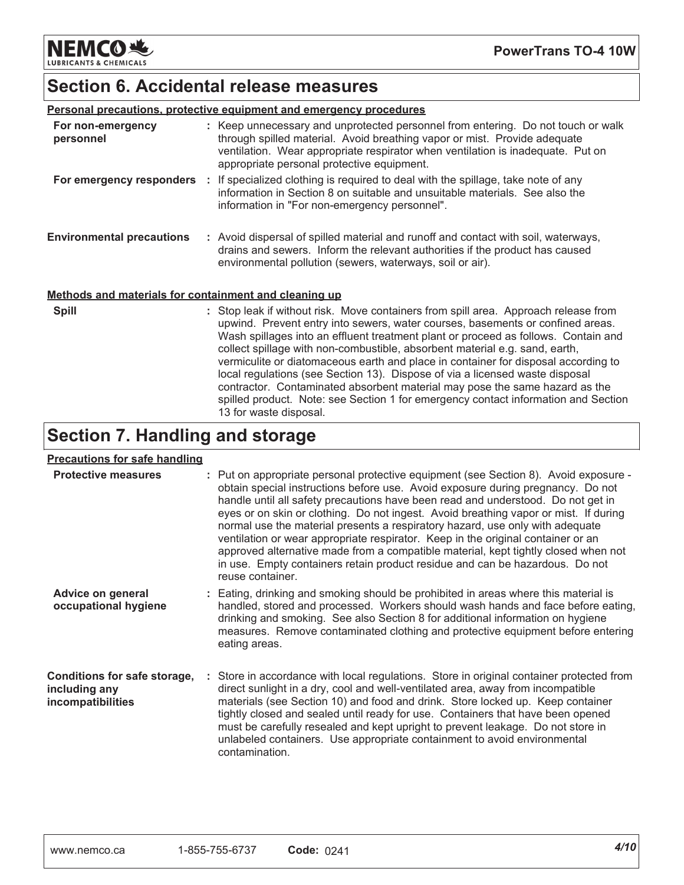**NEMCO头 LUBRICANTS & CHEMICALS** 

## **Section 6. Accidental release measures**

| <b>Personal precautions, protective equipment and emergency procedures</b> |  |                                                                                                                                                                                                                                                                                                                                                                                                                                                                                                                  |  |
|----------------------------------------------------------------------------|--|------------------------------------------------------------------------------------------------------------------------------------------------------------------------------------------------------------------------------------------------------------------------------------------------------------------------------------------------------------------------------------------------------------------------------------------------------------------------------------------------------------------|--|
| For non-emergency<br>personnel                                             |  | : Keep unnecessary and unprotected personnel from entering. Do not touch or walk<br>through spilled material. Avoid breathing vapor or mist. Provide adequate<br>ventilation. Wear appropriate respirator when ventilation is inadequate. Put on<br>appropriate personal protective equipment.                                                                                                                                                                                                                   |  |
|                                                                            |  | For emergency responders : If specialized clothing is required to deal with the spillage, take note of any<br>information in Section 8 on suitable and unsuitable materials. See also the<br>information in "For non-emergency personnel".                                                                                                                                                                                                                                                                       |  |
| <b>Environmental precautions</b>                                           |  | : Avoid dispersal of spilled material and runoff and contact with soil, waterways,<br>drains and sewers. Inform the relevant authorities if the product has caused<br>environmental pollution (sewers, waterways, soil or air).                                                                                                                                                                                                                                                                                  |  |
| Methods and materials for containment and cleaning up                      |  |                                                                                                                                                                                                                                                                                                                                                                                                                                                                                                                  |  |
| <b>Spill</b>                                                               |  | : Stop leak if without risk. Move containers from spill area. Approach release from<br>upwind. Prevent entry into sewers, water courses, basements or confined areas.<br>Wash spillages into an effluent treatment plant or proceed as follows. Contain and<br>collect spillage with non-combustible, absorbent material e.g. sand, earth,<br>vermiculite or diatomaceous earth and place in container for disposal according to<br>local regulations (see Section 13). Dispose of via a licensed waste disposal |  |

contractor. Contaminated absorbent material may pose the same hazard as the spilled product. Note: see Section 1 for emergency contact information and Section

## **Section 7. Handling and storage**

13 for waste disposal.

### **Precautions for safe handling**

| <u>1998819119 TVI 9819 HAHAMHIY</u>                                |                                                                                                                                                                                                                                                                                                                                                                                                                                                                                                                                                                                                                                                                                                                    |
|--------------------------------------------------------------------|--------------------------------------------------------------------------------------------------------------------------------------------------------------------------------------------------------------------------------------------------------------------------------------------------------------------------------------------------------------------------------------------------------------------------------------------------------------------------------------------------------------------------------------------------------------------------------------------------------------------------------------------------------------------------------------------------------------------|
| <b>Protective measures</b>                                         | : Put on appropriate personal protective equipment (see Section 8). Avoid exposure -<br>obtain special instructions before use. Avoid exposure during pregnancy. Do not<br>handle until all safety precautions have been read and understood. Do not get in<br>eyes or on skin or clothing. Do not ingest. Avoid breathing vapor or mist. If during<br>normal use the material presents a respiratory hazard, use only with adequate<br>ventilation or wear appropriate respirator. Keep in the original container or an<br>approved alternative made from a compatible material, kept tightly closed when not<br>in use. Empty containers retain product residue and can be hazardous. Do not<br>reuse container. |
| <b>Advice on general</b><br>occupational hygiene                   | : Eating, drinking and smoking should be prohibited in areas where this material is<br>handled, stored and processed. Workers should wash hands and face before eating,<br>drinking and smoking. See also Section 8 for additional information on hygiene<br>measures. Remove contaminated clothing and protective equipment before entering<br>eating areas.                                                                                                                                                                                                                                                                                                                                                      |
| Conditions for safe storage,<br>including any<br>incompatibilities | : Store in accordance with local regulations. Store in original container protected from<br>direct sunlight in a dry, cool and well-ventilated area, away from incompatible<br>materials (see Section 10) and food and drink. Store locked up. Keep container<br>tightly closed and sealed until ready for use. Containers that have been opened<br>must be carefully resealed and kept upright to prevent leakage. Do not store in<br>unlabeled containers. Use appropriate containment to avoid environmental<br>contamination.                                                                                                                                                                                  |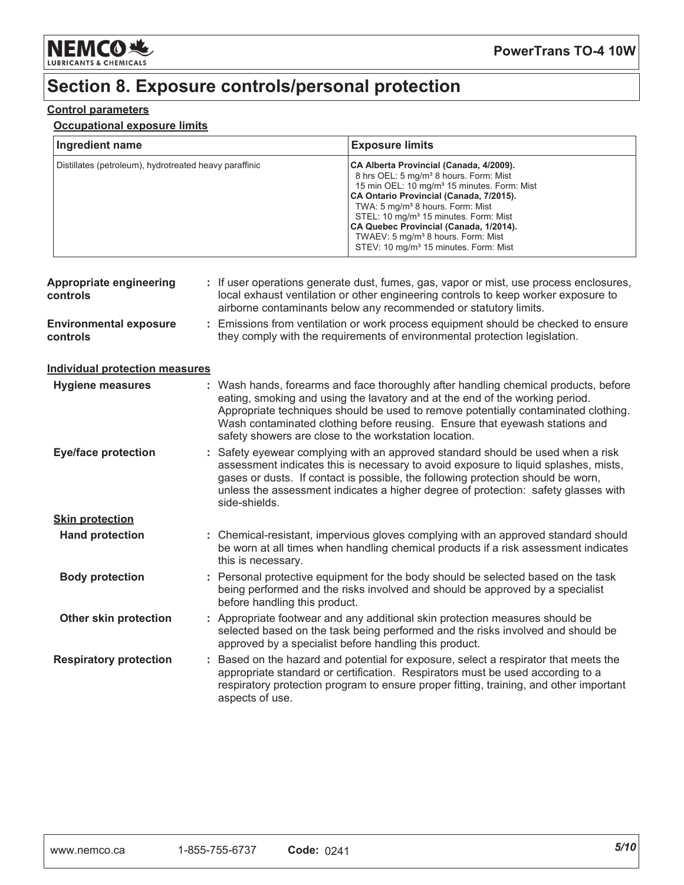

## Section 8. Exposure controls/personal protection

### **Control parameters**

### **Occupational exposure limits**

| Ingredient name                                        | <b>Exposure limits</b>                                                                                                                                                                                                                                                                                                                                                                                                                                    |
|--------------------------------------------------------|-----------------------------------------------------------------------------------------------------------------------------------------------------------------------------------------------------------------------------------------------------------------------------------------------------------------------------------------------------------------------------------------------------------------------------------------------------------|
| Distillates (petroleum), hydrotreated heavy paraffinic | CA Alberta Provincial (Canada, 4/2009).<br>8 hrs OEL: 5 mg/m <sup>3</sup> 8 hours. Form: Mist<br>15 min OEL: 10 mg/m <sup>3</sup> 15 minutes. Form: Mist<br>CA Ontario Provincial (Canada, 7/2015).<br>TWA: 5 mg/m <sup>3</sup> 8 hours. Form: Mist<br>STEL: 10 mg/m <sup>3</sup> 15 minutes. Form: Mist<br>CA Quebec Provincial (Canada, 1/2014).<br>TWAEV: 5 mg/m <sup>3</sup> 8 hours. Form: Mist<br>STEV: 10 mg/m <sup>3</sup> 15 minutes. Form: Mist |

| <b>Appropriate engineering</b><br>controls |    | : If user operations generate dust, fumes, gas, vapor or mist, use process enclosures,<br>local exhaust ventilation or other engineering controls to keep worker exposure to<br>airborne contaminants below any recommended or statutory limits.                                                                                                                                                  |  |
|--------------------------------------------|----|---------------------------------------------------------------------------------------------------------------------------------------------------------------------------------------------------------------------------------------------------------------------------------------------------------------------------------------------------------------------------------------------------|--|
| <b>Environmental exposure</b><br>controls  | ÷. | Emissions from ventilation or work process equipment should be checked to ensure<br>they comply with the requirements of environmental protection legislation.                                                                                                                                                                                                                                    |  |
| <b>Individual protection measures</b>      |    |                                                                                                                                                                                                                                                                                                                                                                                                   |  |
| Hygiene measures                           |    | : Wash hands, forearms and face thoroughly after handling chemical products, before<br>eating, smoking and using the lavatory and at the end of the working period.<br>Appropriate techniques should be used to remove potentially contaminated clothing.<br>Wash contaminated clothing before reusing. Ensure that eyewash stations and<br>safety showers are close to the workstation location. |  |
| <b>Eye/face protection</b>                 |    | : Safety eyewear complying with an approved standard should be used when a risk<br>assessment indicates this is necessary to avoid exposure to liquid splashes, mists,<br>gases or dusts. If contact is possible, the following protection should be worn,<br>unless the assessment indicates a higher degree of protection: safety glasses with<br>side-shields.                                 |  |
| <b>Skin protection</b>                     |    |                                                                                                                                                                                                                                                                                                                                                                                                   |  |
| <b>Hand protection</b>                     |    | : Chemical-resistant, impervious gloves complying with an approved standard should<br>be worn at all times when handling chemical products if a risk assessment indicates<br>this is necessary.                                                                                                                                                                                                   |  |
| <b>Body protection</b>                     |    | : Personal protective equipment for the body should be selected based on the task<br>being performed and the risks involved and should be approved by a specialist<br>before handling this product.                                                                                                                                                                                               |  |
| Other skin protection                      |    | : Appropriate footwear and any additional skin protection measures should be<br>selected based on the task being performed and the risks involved and should be<br>approved by a specialist before handling this product.                                                                                                                                                                         |  |
| <b>Respiratory protection</b>              |    | : Based on the hazard and potential for exposure, select a respirator that meets the<br>appropriate standard or certification. Respirators must be used according to a<br>respiratory protection program to ensure proper fitting, training, and other important<br>aspects of use.                                                                                                               |  |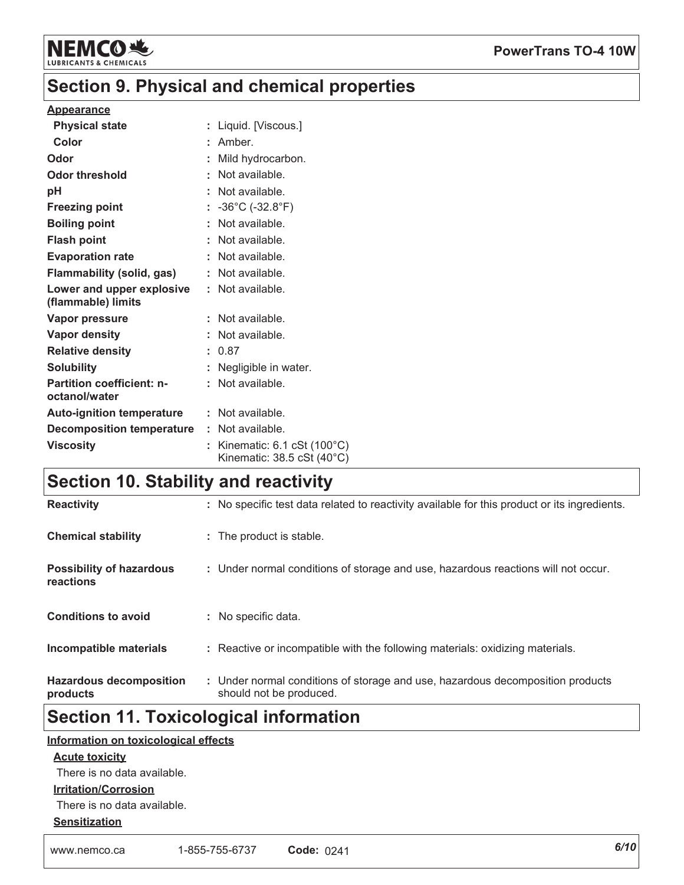

### **PowerTrans TO-4 10W**

## Section 9. Physical and chemical properties

#### **Appearance**

| <b>Physical state</b>                           | : Liquid. [Viscous.]                                                                                          |
|-------------------------------------------------|---------------------------------------------------------------------------------------------------------------|
| Color                                           | $:$ Amber.                                                                                                    |
| Odor                                            | Mild hydrocarbon.                                                                                             |
| <b>Odor threshold</b>                           | : Not available.                                                                                              |
| рH                                              | : Not available.                                                                                              |
| <b>Freezing point</b>                           | : $-36^{\circ}$ C ( $-32.8^{\circ}$ F)                                                                        |
| <b>Boiling point</b>                            | : Not available.                                                                                              |
| <b>Flash point</b>                              | : Not available.                                                                                              |
| <b>Evaporation rate</b>                         | : Not available.                                                                                              |
| <b>Flammability (solid, gas)</b>                | : Not available.                                                                                              |
| Lower and upper explosive<br>(flammable) limits | : Not available.                                                                                              |
| Vapor pressure                                  | : Not available.                                                                                              |
| <b>Vapor density</b>                            | : Not available.                                                                                              |
| <b>Relative density</b>                         | : 0.87                                                                                                        |
| <b>Solubility</b>                               | : Negligible in water.                                                                                        |
| Partition coefficient: n-<br>octanol/water      | : Not available.                                                                                              |
| <b>Auto-ignition temperature</b>                | : Not available.                                                                                              |
| <b>Decomposition temperature</b>                | : Not available.                                                                                              |
| <b>Viscosity</b>                                | : Kinematic: $6.1 \text{ cSt } (100^{\circ} \text{C})$<br>Kinematic: $38.5 \text{ cSt} (40^{\circ} \text{C})$ |

## Section 10. Stability and reactivity

| <b>Reactivity</b>                            | : No specific test data related to reactivity available for this product or its ingredients.              |
|----------------------------------------------|-----------------------------------------------------------------------------------------------------------|
| <b>Chemical stability</b>                    | : The product is stable.                                                                                  |
| <b>Possibility of hazardous</b><br>reactions | : Under normal conditions of storage and use, hazardous reactions will not occur.                         |
| <b>Conditions to avoid</b>                   | : No specific data.                                                                                       |
| Incompatible materials                       | : Reactive or incompatible with the following materials: oxidizing materials.                             |
| <b>Hazardous decomposition</b><br>products   | : Under normal conditions of storage and use, hazardous decomposition products<br>should not be produced. |

## **Section 11. Toxicological information**

### Information on toxicological effects

### **Acute toxicity**

There is no data available.

### **Irritation/Corrosion**

There is no data available.

### **Sensitization**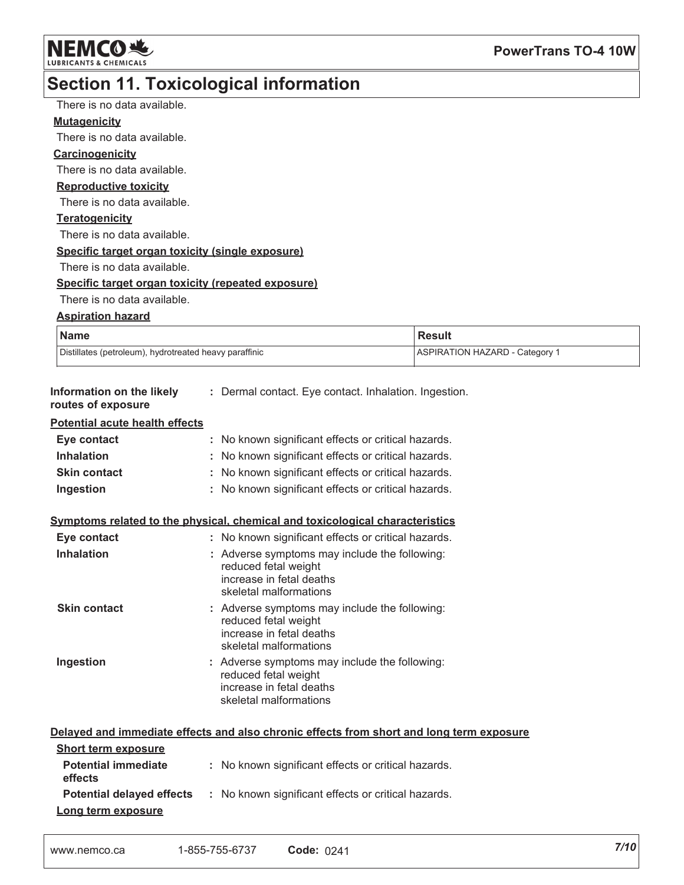

#### Section 11 Toxicological information L

|                                                          | oecuon 11. roxicological imorniation                                         |                                                                                          |  |
|----------------------------------------------------------|------------------------------------------------------------------------------|------------------------------------------------------------------------------------------|--|
| There is no data available.                              |                                                                              |                                                                                          |  |
| <b>Mutagenicity</b>                                      |                                                                              |                                                                                          |  |
| There is no data available.                              |                                                                              |                                                                                          |  |
| <b>Carcinogenicity</b>                                   |                                                                              |                                                                                          |  |
| There is no data available.                              |                                                                              |                                                                                          |  |
| <b>Reproductive toxicity</b>                             |                                                                              |                                                                                          |  |
| There is no data available.                              |                                                                              |                                                                                          |  |
| Teratogenicity                                           |                                                                              |                                                                                          |  |
| There is no data available.                              |                                                                              |                                                                                          |  |
| Specific target organ toxicity (single exposure)         |                                                                              |                                                                                          |  |
| There is no data available.                              |                                                                              |                                                                                          |  |
| Specific target organ toxicity (repeated exposure)       |                                                                              |                                                                                          |  |
| There is no data available.                              |                                                                              |                                                                                          |  |
| <b>Aspiration hazard</b>                                 |                                                                              |                                                                                          |  |
| <b>Name</b>                                              |                                                                              | <b>Result</b>                                                                            |  |
| Distillates (petroleum), hydrotreated heavy paraffinic   |                                                                              | <b>ASPIRATION HAZARD - Category 1</b>                                                    |  |
|                                                          |                                                                              |                                                                                          |  |
| Information on the likely<br>routes of exposure          | : Dermal contact. Eye contact. Inhalation. Ingestion.                        |                                                                                          |  |
| <b>Potential acute health effects</b>                    |                                                                              |                                                                                          |  |
| Eye contact                                              | No known significant effects or critical hazards.<br>÷                       |                                                                                          |  |
| <b>Inhalation</b>                                        | No known significant effects or critical hazards.                            |                                                                                          |  |
| <b>Skin contact</b>                                      | No known significant effects or critical hazards.                            |                                                                                          |  |
| Ingestion                                                | : No known significant effects or critical hazards.                          |                                                                                          |  |
|                                                          |                                                                              |                                                                                          |  |
|                                                          | Symptoms related to the physical, chemical and toxicological characteristics |                                                                                          |  |
| Eye contact                                              | : No known significant effects or critical hazards.                          |                                                                                          |  |
| <b>Inhalation</b>                                        | : Adverse symptoms may include the following:<br>reduced fetal weight        |                                                                                          |  |
|                                                          | increase in fetal deaths                                                     |                                                                                          |  |
|                                                          | skeletal malformations                                                       |                                                                                          |  |
| <b>Skin contact</b>                                      | : Adverse symptoms may include the following:                                |                                                                                          |  |
|                                                          | reduced fetal weight<br>increase in fetal deaths                             |                                                                                          |  |
|                                                          | skeletal malformations                                                       |                                                                                          |  |
| Ingestion                                                | : Adverse symptoms may include the following:                                |                                                                                          |  |
|                                                          | reduced fetal weight                                                         |                                                                                          |  |
|                                                          | increase in fetal deaths                                                     |                                                                                          |  |
|                                                          | skeletal malformations                                                       |                                                                                          |  |
|                                                          |                                                                              |                                                                                          |  |
|                                                          |                                                                              | Delayed and immediate effects and also chronic effects from short and long term exposure |  |
| <b>Short term exposure</b><br><b>Potential immediate</b> |                                                                              |                                                                                          |  |
| effects                                                  | : No known significant effects or critical hazards.                          |                                                                                          |  |
| <b>Potential delayed effects</b>                         | : No known significant effects or critical hazards.                          |                                                                                          |  |
| Long term exposure                                       |                                                                              |                                                                                          |  |
|                                                          |                                                                              |                                                                                          |  |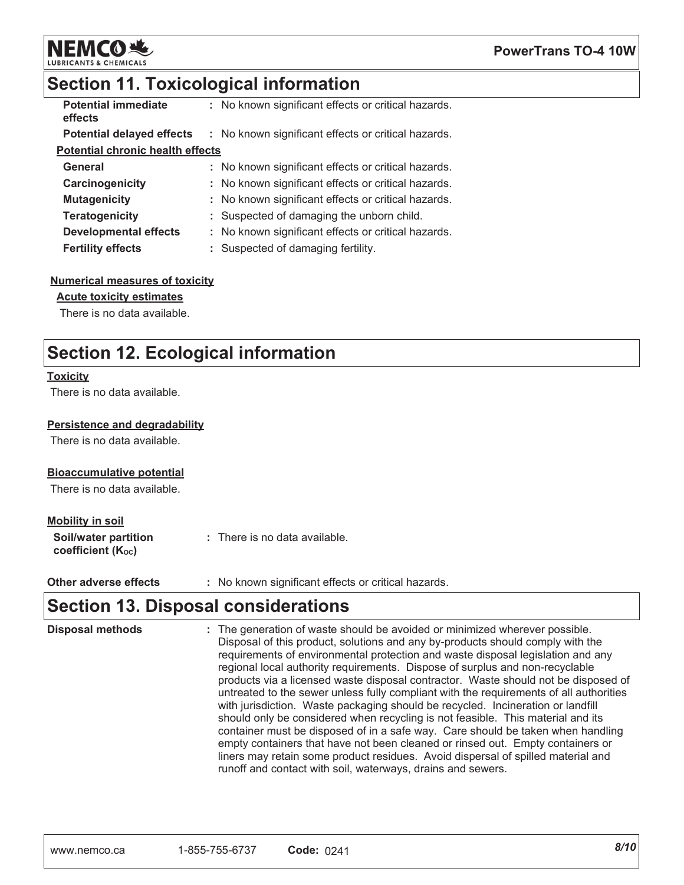

## **Section 11. Toxicological information**

| <b>Potential immediate</b><br>effects   | : No known significant effects or critical hazards. |
|-----------------------------------------|-----------------------------------------------------|
| <b>Potential delayed effects</b>        | : No known significant effects or critical hazards. |
| <b>Potential chronic health effects</b> |                                                     |
| General                                 | : No known significant effects or critical hazards. |
| Carcinogenicity                         | : No known significant effects or critical hazards. |
| <b>Mutagenicity</b>                     | : No known significant effects or critical hazards. |
| <b>Teratogenicity</b>                   | : Suspected of damaging the unborn child.           |
| <b>Developmental effects</b>            | : No known significant effects or critical hazards. |
| <b>Fertility effects</b>                | Suspected of damaging fertility.                    |

#### **Numerical measures of toxicity**

### **Acute toxicity estimates**

There is no data available.

## **Section 12. Ecological information**

#### **Toxicity**

There is no data available.

### Persistence and degradability

There is no data available.

### **Bioaccumulative potential**

There is no data available.

#### **Mobility in soil**

| Soil/water partition   | : There is no data available. |
|------------------------|-------------------------------|
| coefficient $(K_{oc})$ |                               |

: No known significant effects or critical hazards. Other adverse effects

### **Section 13. Disposal considerations**

| <b>Disposal methods</b> | : The generation of waste should be avoided or minimized wherever possible.<br>Disposal of this product, solutions and any by-products should comply with the<br>requirements of environmental protection and waste disposal legislation and any<br>regional local authority requirements. Dispose of surplus and non-recyclable<br>products via a licensed waste disposal contractor. Waste should not be disposed of<br>untreated to the sewer unless fully compliant with the requirements of all authorities<br>with jurisdiction. Waste packaging should be recycled. Incineration or landfill<br>should only be considered when recycling is not feasible. This material and its<br>container must be disposed of in a safe way. Care should be taken when handling<br>empty containers that have not been cleaned or rinsed out. Empty containers or |
|-------------------------|-------------------------------------------------------------------------------------------------------------------------------------------------------------------------------------------------------------------------------------------------------------------------------------------------------------------------------------------------------------------------------------------------------------------------------------------------------------------------------------------------------------------------------------------------------------------------------------------------------------------------------------------------------------------------------------------------------------------------------------------------------------------------------------------------------------------------------------------------------------|
|                         | liners may retain some product residues. Avoid dispersal of spilled material and<br>runoff and contact with soil, waterways, drains and sewers.                                                                                                                                                                                                                                                                                                                                                                                                                                                                                                                                                                                                                                                                                                             |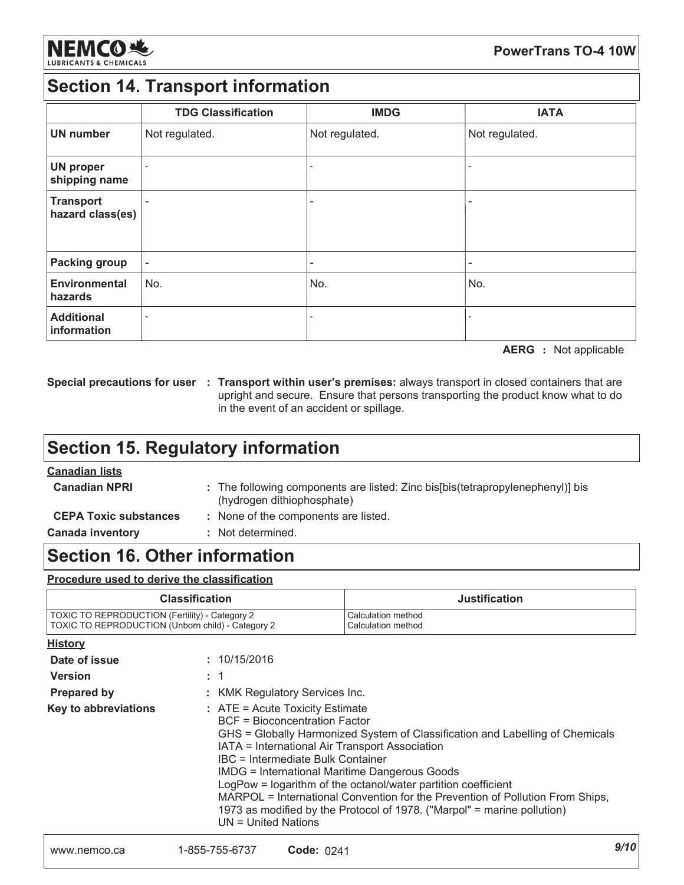

## **Section 14. Transport information**

|                                      | <b>TDG Classification</b> | <b>IMDG</b>              | <b>IATA</b>    |
|--------------------------------------|---------------------------|--------------------------|----------------|
| <b>UN number</b>                     | Not regulated.            | Not regulated.           | Not regulated. |
| <b>UN proper</b><br>shipping name    | ۰                         | $\overline{\phantom{0}}$ |                |
| <b>Transport</b><br>hazard class(es) |                           | $\overline{\phantom{a}}$ |                |
| <b>Packing group</b>                 |                           | ٠                        |                |
| <b>Environmental</b><br>hazards      | No.                       | No.                      | No.            |
| <b>Additional</b><br>information     |                           |                          |                |

**AERG** : Not applicable

Special precautions for user : Transport within user's premises: always transport in closed containers that are upright and secure. Ensure that persons transporting the product know what to do in the event of an accident or spillage.

## **Section 15. Regulatory information**

### **Canadian lists**

| <b>Canadian NPRI</b>         | (hydrogen dithiophosphate) | : The following components are listed: Zinc bis[bis(tetrapropylenephenyl)] bis |
|------------------------------|----------------------------|--------------------------------------------------------------------------------|
| <b>CEPA Toxic substances</b> |                            | : None of the components are listed.                                           |
| <b>Canada inventory</b>      | : Not determined.          |                                                                                |

### **Section 16. Other information**

### Procedure used to derive the classification

| <b>Classification</b>                             | <b>Justification</b> |
|---------------------------------------------------|----------------------|
| TOXIC TO REPRODUCTION (Fertility) - Category 2    | Calculation method   |
| TOXIC TO REPRODUCTION (Unborn child) - Category 2 | Calculation method   |

| <b>History</b>       |                                                                                                                                                                                                                                                                                                                                                                                                                                                                                                                                                               |
|----------------------|---------------------------------------------------------------------------------------------------------------------------------------------------------------------------------------------------------------------------------------------------------------------------------------------------------------------------------------------------------------------------------------------------------------------------------------------------------------------------------------------------------------------------------------------------------------|
| Date of issue        | : 10/15/2016                                                                                                                                                                                                                                                                                                                                                                                                                                                                                                                                                  |
| <b>Version</b>       | : 1                                                                                                                                                                                                                                                                                                                                                                                                                                                                                                                                                           |
| <b>Prepared by</b>   | : KMK Regulatory Services Inc.                                                                                                                                                                                                                                                                                                                                                                                                                                                                                                                                |
| Key to abbreviations | : ATE = Acute Toxicity Estimate<br><b>BCF</b> = Bioconcentration Factor<br>GHS = Globally Harmonized System of Classification and Labelling of Chemicals<br>IATA = International Air Transport Association<br>IBC = Intermediate Bulk Container<br><b>IMDG = International Maritime Dangerous Goods</b><br>LogPow = logarithm of the octanol/water partition coefficient<br>MARPOL = International Convention for the Prevention of Pollution From Ships,<br>1973 as modified by the Protocol of 1978. ("Marpol" = marine pollution)<br>$UN = United Nations$ |
|                      |                                                                                                                                                                                                                                                                                                                                                                                                                                                                                                                                                               |